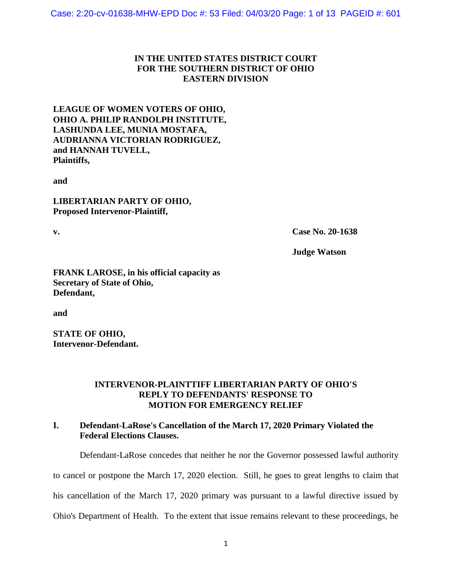## **IN THE UNITED STATES DISTRICT COURT FOR THE SOUTHERN DISTRICT OF OHIO EASTERN DIVISION**

## **LEAGUE OF WOMEN VOTERS OF OHIO, OHIO A. PHILIP RANDOLPH INSTITUTE, LASHUNDA LEE, MUNIA MOSTAFA, AUDRIANNA VICTORIAN RODRIGUEZ, and HANNAH TUVELL, Plaintiffs,**

**and** 

**LIBERTARIAN PARTY OF OHIO, Proposed Intervenor-Plaintiff,**

**v. Case No. 20-1638**

**Judge Watson**

**FRANK LAROSE, in his official capacity as Secretary of State of Ohio, Defendant,**

**and**

**STATE OF OHIO, Intervenor-Defendant.**

#### **INTERVENOR-PLAINTTIFF LIBERTARIAN PARTY OF OHIO'S REPLY TO DEFENDANTS' RESPONSE TO MOTION FOR EMERGENCY RELIEF**

# **I. Defendant-LaRose's Cancellation of the March 17, 2020 Primary Violated the Federal Elections Clauses.**

Defendant-LaRose concedes that neither he nor the Governor possessed lawful authority

to cancel or postpone the March 17, 2020 election. Still, he goes to great lengths to claim that

his cancellation of the March 17, 2020 primary was pursuant to a lawful directive issued by

Ohio's Department of Health. To the extent that issue remains relevant to these proceedings, he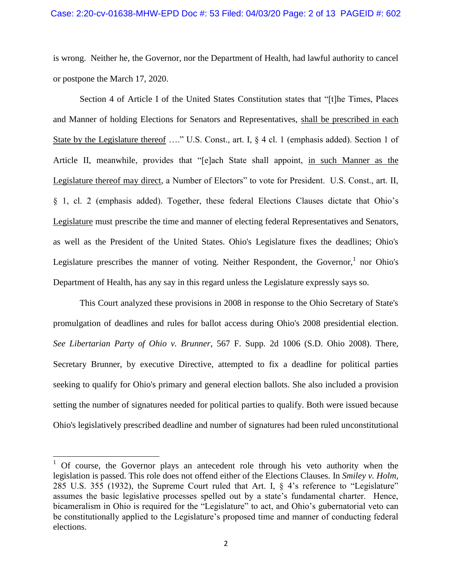is wrong. Neither he, the Governor, nor the Department of Health, had lawful authority to cancel or postpone the March 17, 2020.

Section 4 of Article I of the United States Constitution states that "[t]he Times, Places and Manner of holding Elections for Senators and Representatives, shall be prescribed in each State by the Legislature thereof ...." U.S. Const., art. I, § 4 cl. 1 (emphasis added). Section 1 of Article II, meanwhile, provides that "[e]ach State shall appoint, in such Manner as the Legislature thereof may direct, a Number of Electors" to vote for President. U.S. Const., art. II, § 1, cl. 2 (emphasis added). Together, these federal Elections Clauses dictate that Ohio's Legislature must prescribe the time and manner of electing federal Representatives and Senators, as well as the President of the United States. Ohio's Legislature fixes the deadlines; Ohio's Legislature prescribes the manner of voting. Neither Respondent, the Governor,  $1$  nor Ohio's Department of Health, has any say in this regard unless the Legislature expressly says so.

This Court analyzed these provisions in 2008 in response to the Ohio Secretary of State's promulgation of deadlines and rules for ballot access during Ohio's 2008 presidential election. *See Libertarian Party of Ohio v. Brunner*, 567 F. Supp. 2d 1006 (S.D. Ohio 2008). There, Secretary Brunner, by executive Directive, attempted to fix a deadline for political parties seeking to qualify for Ohio's primary and general election ballots. She also included a provision setting the number of signatures needed for political parties to qualify. Both were issued because Ohio's legislatively prescribed deadline and number of signatures had been ruled unconstitutional

 $\overline{\phantom{a}}$ 

 $1$  Of course, the Governor plays an antecedent role through his veto authority when the legislation is passed. This role does not offend either of the Elections Clauses. In *Smiley v. Holm*, 285 U.S. 355 (1932), the Supreme Court ruled that Art. I, § 4's reference to "Legislature" assumes the basic legislative processes spelled out by a state's fundamental charter. Hence, bicameralism in Ohio is required for the "Legislature" to act, and Ohio's gubernatorial veto can be constitutionally applied to the Legislature's proposed time and manner of conducting federal elections.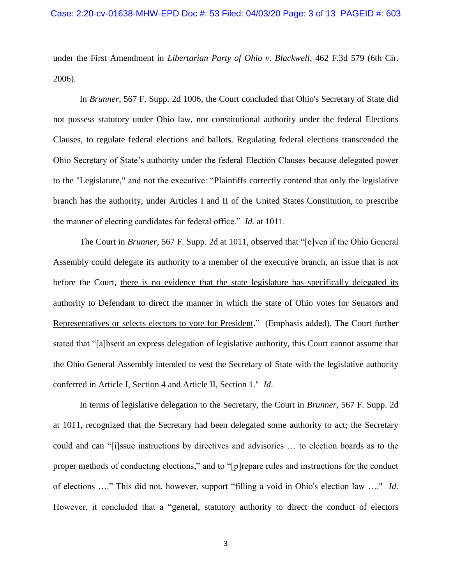under the First Amendment in *Libertarian Party of Ohio v. Blackwell*, 462 F.3d 579 (6th Cir. 2006).

In *Brunner*, 567 F. Supp. 2d 1006, the Court concluded that Ohio's Secretary of State did not possess statutory under Ohio law, nor constitutional authority under the federal Elections Clauses, to regulate federal elections and ballots. Regulating federal elections transcended the Ohio Secretary of State's authority under the federal Election Clauses because delegated power to the "Legislature," and not the executive: "Plaintiffs correctly contend that only the legislative branch has the authority, under Articles I and II of the United States Constitution, to prescribe the manner of electing candidates for federal office." *Id.* at 1011.

The Court in *Brunner*, 567 F. Supp. 2d at 1011, observed that "[e]ven if the Ohio General Assembly could delegate its authority to a member of the executive branch, an issue that is not before the Court, there is no evidence that the state legislature has specifically delegated its authority to Defendant to direct the manner in which the state of Ohio votes for Senators and Representatives or selects electors to vote for President." (Emphasis added). The Court further stated that "[a]bsent an express delegation of legislative authority, this Court cannot assume that the Ohio General Assembly intended to vest the Secretary of State with the legislative authority conferred in Article I, Section 4 and Article II, Section 1." *Id*.

In terms of legislative delegation to the Secretary, the Court in *Brunner*, 567 F. Supp. 2d at 1011, recognized that the Secretary had been delegated some authority to act; the Secretary could and can "[i]ssue instructions by directives and advisories … to election boards as to the proper methods of conducting elections," and to "[p]repare rules and instructions for the conduct of elections …." This did not, however, support "filling a void in Ohio's election law …." *Id.*  However, it concluded that a "general, statutory authority to direct the conduct of electors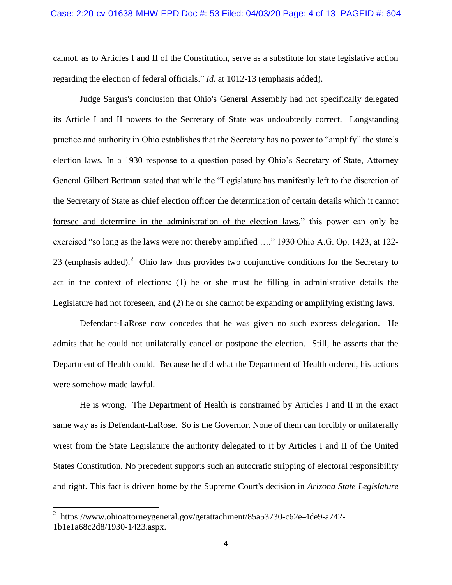cannot, as to Articles I and II of the Constitution, serve as a substitute for state legislative action regarding the election of federal officials." *Id*. at 1012-13 (emphasis added).

Judge Sargus's conclusion that Ohio's General Assembly had not specifically delegated its Article I and II powers to the Secretary of State was undoubtedly correct. Longstanding practice and authority in Ohio establishes that the Secretary has no power to "amplify" the state's election laws. In a 1930 response to a question posed by Ohio's Secretary of State, Attorney General Gilbert Bettman stated that while the "Legislature has manifestly left to the discretion of the Secretary of State as chief election officer the determination of certain details which it cannot foresee and determine in the administration of the election laws," this power can only be exercised "so long as the laws were not thereby amplified …." 1930 Ohio A.G. Op. 1423, at 122- 23 (emphasis added).<sup>2</sup> Ohio law thus provides two conjunctive conditions for the Secretary to act in the context of elections: (1) he or she must be filling in administrative details the Legislature had not foreseen, and (2) he or she cannot be expanding or amplifying existing laws.

Defendant-LaRose now concedes that he was given no such express delegation. He admits that he could not unilaterally cancel or postpone the election. Still, he asserts that the Department of Health could. Because he did what the Department of Health ordered, his actions were somehow made lawful.

He is wrong. The Department of Health is constrained by Articles I and II in the exact same way as is Defendant-LaRose. So is the Governor. None of them can forcibly or unilaterally wrest from the State Legislature the authority delegated to it by Articles I and II of the United States Constitution. No precedent supports such an autocratic stripping of electoral responsibility and right. This fact is driven home by the Supreme Court's decision in *Arizona State Legislature* 

 $\overline{\phantom{a}}$ 

<sup>2</sup> [https://www.ohioattorneygeneral.gov/getattachment/85a53730-c62e-4de9-a742-](https://www.ohioattorneygeneral.gov/getattachment/85a53730-c62e-4de9-a742-1b1e1a68c2d8/1930-1423.aspx) [1b1e1a68c2d8/1930-1423.aspx.](https://www.ohioattorneygeneral.gov/getattachment/85a53730-c62e-4de9-a742-1b1e1a68c2d8/1930-1423.aspx)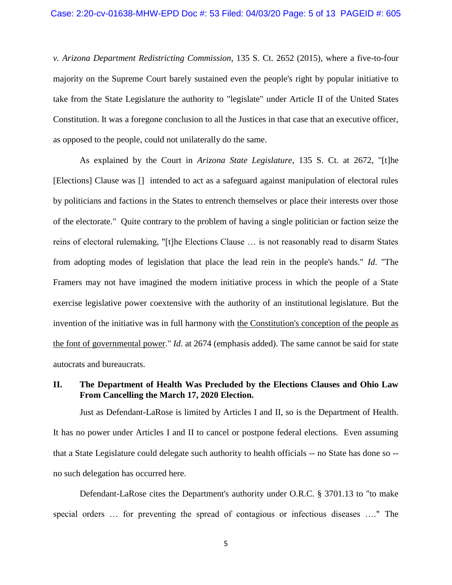*v. Arizona Department Redistricting Commission*, 135 S. Ct. 2652 (2015), where a five-to-four majority on the Supreme Court barely sustained even the people's right by popular initiative to take from the State Legislature the authority to "legislate" under Article II of the United States Constitution. It was a foregone conclusion to all the Justices in that case that an executive officer, as opposed to the people, could not unilaterally do the same.

As explained by the Court in *Arizona State Legislature*, 135 S. Ct. at 2672, "[t]he [Elections] Clause was [] intended to act as a safeguard against manipulation of electoral rules by politicians and factions in the States to entrench themselves or place their interests over those of the electorate." Quite contrary to the problem of having a single politician or faction seize the reins of electoral rulemaking, "[t]he Elections Clause … is not reasonably read to disarm States from adopting modes of legislation that place the lead rein in the people's hands." *Id*. "The Framers may not have imagined the modern initiative process in which the people of a State exercise legislative power coextensive with the authority of an institutional legislature. But the invention of the initiative was in full harmony with the Constitution's conception of the people as the font of governmental power." *Id*. at 2674 (emphasis added). The same cannot be said for state autocrats and bureaucrats.

#### **II. The Department of Health Was Precluded by the Elections Clauses and Ohio Law From Cancelling the March 17, 2020 Election.**

Just as Defendant-LaRose is limited by Articles I and II, so is the Department of Health. It has no power under Articles I and II to cancel or postpone federal elections. Even assuming that a State Legislature could delegate such authority to health officials -- no State has done so - no such delegation has occurred here.

Defendant-LaRose cites the Department's authority under O.R.C. § 3701.13 to "to make special orders … for preventing the spread of contagious or infectious diseases …." The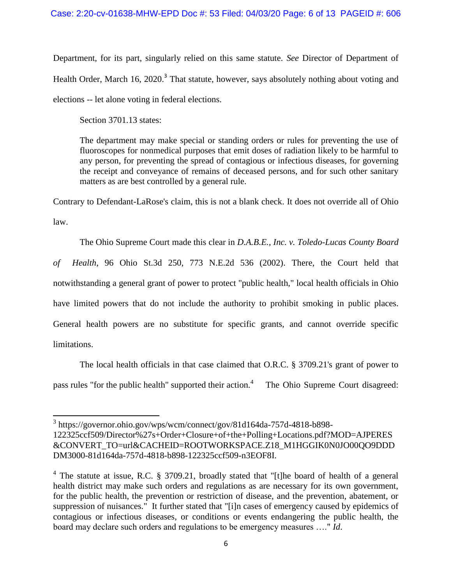Department, for its part, singularly relied on this same statute. *See* Director of Department of Health Order, March 16, 2020.<sup>3</sup> That statute, however, says absolutely nothing about voting and elections -- let alone voting in federal elections.

Section 3701.13 states:

The department may make special or standing orders or rules for preventing the use of fluoroscopes for nonmedical purposes that emit doses of radiation likely to be harmful to any person, for preventing the spread of contagious or infectious diseases, for governing the receipt and conveyance of remains of deceased persons, and for such other sanitary matters as are best controlled by a general rule.

Contrary to Defendant-LaRose's claim, this is not a blank check. It does not override all of Ohio law.

The Ohio Supreme Court made this clear in *D.A.B.E., Inc. v. Toledo-Lucas County Board of Health*, 96 Ohio St.3d 250, 773 N.E.2d 536 (2002). There, the Court held that notwithstanding a general grant of power to protect "public health," local health officials in Ohio have limited powers that do not include the authority to prohibit smoking in public places. General health powers are no substitute for specific grants, and cannot override specific limitations.

The local health officials in that case claimed that O.R.C. § 3709.21's grant of power to pass rules "for the public health" supported their action.<sup>4</sup> The Ohio Supreme Court disagreed:

 3 [https://governor.ohio.gov/wps/wcm/connect/gov/81d164da-757d-4818-b898-](https://governor.ohio.gov/wps/wcm/connect/gov/81d164da-757d-4818-b898-122325ccf509/Director%27s+Order+Closure+of+the+Polling+Locations.pdf?MOD=AJPERES&CONVERT_TO=url&CACHEID=ROOTWORKSPACE.Z18_M1HGGIK0N0JO00QO9DDDDM3000-81d164da-757d-4818-b898-122325ccf509-n3EOF8I) [122325ccf509/Director%27s+Order+Closure+of+the+Polling+Locations.pdf?MOD=AJPERES](https://governor.ohio.gov/wps/wcm/connect/gov/81d164da-757d-4818-b898-122325ccf509/Director%27s+Order+Closure+of+the+Polling+Locations.pdf?MOD=AJPERES&CONVERT_TO=url&CACHEID=ROOTWORKSPACE.Z18_M1HGGIK0N0JO00QO9DDDDM3000-81d164da-757d-4818-b898-122325ccf509-n3EOF8I)

[<sup>&</sup>amp;CONVERT\\_TO=url&CACHEID=ROOTWORKSPACE.Z18\\_M1HGGIK0N0JO00QO9DDD](https://governor.ohio.gov/wps/wcm/connect/gov/81d164da-757d-4818-b898-122325ccf509/Director%27s+Order+Closure+of+the+Polling+Locations.pdf?MOD=AJPERES&CONVERT_TO=url&CACHEID=ROOTWORKSPACE.Z18_M1HGGIK0N0JO00QO9DDDDM3000-81d164da-757d-4818-b898-122325ccf509-n3EOF8I) [DM3000-81d164da-757d-4818-b898-122325ccf509-n3EOF8I.](https://governor.ohio.gov/wps/wcm/connect/gov/81d164da-757d-4818-b898-122325ccf509/Director%27s+Order+Closure+of+the+Polling+Locations.pdf?MOD=AJPERES&CONVERT_TO=url&CACHEID=ROOTWORKSPACE.Z18_M1HGGIK0N0JO00QO9DDDDM3000-81d164da-757d-4818-b898-122325ccf509-n3EOF8I)

<sup>&</sup>lt;sup>4</sup> The statute at issue, R.C. § 3709.21, broadly stated that "[t]he board of health of a general health district may make such orders and regulations as are necessary for its own government, for the public health, the prevention or restriction of disease, and the prevention, abatement, or suppression of nuisances." It further stated that "[i]n cases of emergency caused by epidemics of contagious or infectious diseases, or conditions or events endangering the public health, the board may declare such orders and regulations to be emergency measures …." *Id*.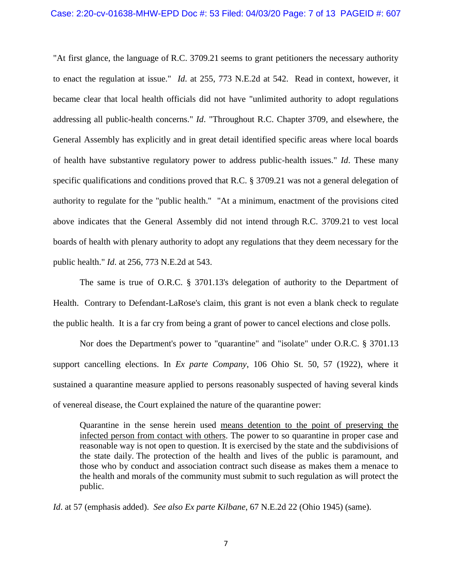"At first glance, the language of R.C. [3709.21](https://1.next.westlaw.com/Link/Document/FullText?findType=L&pubNum=1000279&cite=OHSTS3709.21&originatingDoc=I373baf34d39011d99439b076ef9ec4de&refType=LQ&originationContext=document&transitionType=DocumentItem&contextData=(sc.Search)) seems to grant petitioners the necessary authority to enact the regulation at issue." *Id*. at 255, 773 N.E.2d at 542. Read in context, however, it became clear that local health officials did not have "unlimited authority to adopt regulations addressing all public-health concerns." *Id*. "Throughout R.C. Chapter 3709, and elsewhere, the General Assembly has explicitly and in great detail identified specific areas where local boards of health have substantive regulatory power to address public-health issues." *Id*. These many specific qualifications and conditions proved that R.C. § 3709.21 was not a general delegation of authority to regulate for the "public health." "At a minimum, enactment of the provisions cited above indicates that the General Assembly did not intend through R.C. [3709.21](https://1.next.westlaw.com/Link/Document/FullText?findType=L&pubNum=1000279&cite=OHSTS3709.21&originatingDoc=I373baf34d39011d99439b076ef9ec4de&refType=LQ&originationContext=document&transitionType=DocumentItem&contextData=(sc.Search)) to vest local boards of health with plenary authority to adopt any regulations that they deem necessary for the public health." *Id*. at 256, 773 N.E.2d at 543.

The same is true of O.R.C. § 3701.13's delegation of authority to the Department of Health. Contrary to Defendant-LaRose's claim, this grant is not even a blank check to regulate the public health. It is a far cry from being a grant of power to cancel elections and close polls.

Nor does the Department's power to "quarantine" and "isolate" under O.R.C. § 3701.13 support cancelling elections. In *Ex parte Company*, 106 Ohio St. 50, 57 (1922), where it sustained a quarantine measure applied to persons reasonably suspected of having several kinds of venereal disease, the Court explained the nature of the quarantine power:

Quarantine in the sense herein used means detention to the point of preserving the infected person from contact with others. The power to so quarantine in proper case and reasonable way is not open to question. It is exercised by the state and the subdivisions of the state daily. The protection of the health and lives of the public is paramount, and those who by conduct and association contract such disease as makes them a menace to the health and morals of the community must submit to such regulation as will protect the public.

*Id*. at 57 (emphasis added). *See also Ex parte Kilbane*, 67 N.E.2d 22 (Ohio 1945) (same).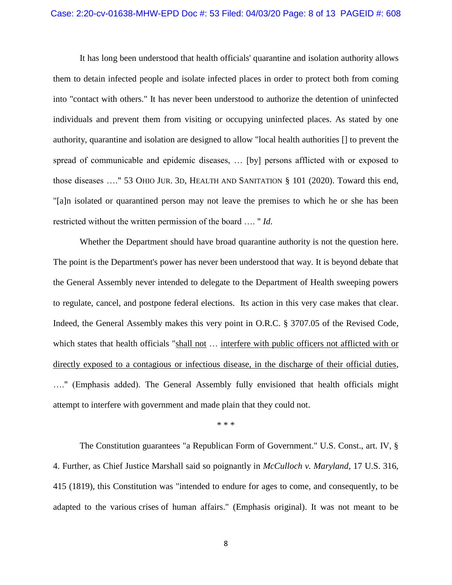It has long been understood that health officials' quarantine and isolation authority allows them to detain infected people and isolate infected places in order to protect both from coming into "contact with others." It has never been understood to authorize the detention of uninfected individuals and prevent them from visiting or occupying uninfected places. As stated by one authority, quarantine and isolation are designed to allow "local health authorities [] to prevent the spread of communicable and epidemic diseases, … [by] persons afflicted with or exposed to those diseases …." 53 OHIO JUR. 3D, HEALTH AND SANITATION § 101 (2020). Toward this end, "[a]n isolated or quarantined person may not leave the premises to which he or she has been restricted without the written permission of the board …. " *Id*.

Whether the Department should have broad quarantine authority is not the question here. The point is the Department's power has never been understood that way. It is beyond debate that the General Assembly never intended to delegate to the Department of Health sweeping powers to regulate, cancel, and postpone federal elections. Its action in this very case makes that clear. Indeed, the General Assembly makes this very point in O.R.C. § 3707.05 of the Revised Code, which states that health officials "shall not ... interfere with public officers not afflicted with or directly exposed to a contagious or infectious disease, in the discharge of their official duties, …." (Emphasis added). The General Assembly fully envisioned that health officials might attempt to interfere with government and made plain that they could not.

#### \* \* \*

The Constitution guarantees "a Republican Form of Government." U.S. Const., art. IV, § 4. Further, as Chief Justice Marshall said so poignantly in *McCulloch v. Maryland*, 17 U.S. 316, 415 (1819), this Constitution was "intended to endure for ages to come, and consequently, to be adapted to the various crises of human affairs." (Emphasis original). It was not meant to be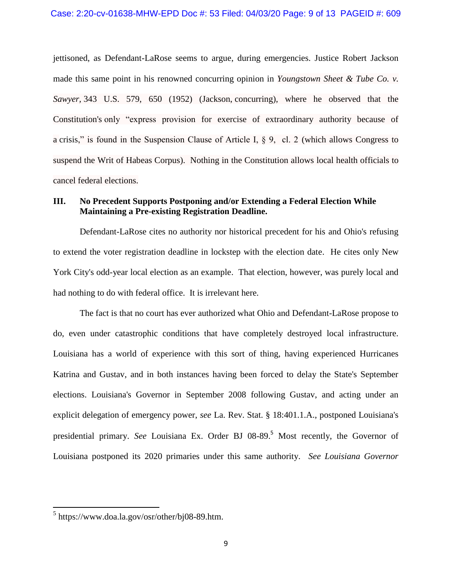jettisoned, as Defendant-LaRose seems to argue, during emergencies. Justice Robert Jackson made this same point in his renowned concurring opinion in *[Youngstown](https://1.next.westlaw.com/Link/Document/FullText?findType=Y&serNum=1952120254&pubNum=0000708&originatingDoc=I72f1dbd39c9a11d991d0cc6b54f12d4d&refType=RP&originationContext=document&transitionType=DocumentItem&contextData=(sc.Search)) Sheet & Tube Co. v. [Sawyer,](https://1.next.westlaw.com/Link/Document/FullText?findType=Y&serNum=1952120254&pubNum=0000708&originatingDoc=I72f1dbd39c9a11d991d0cc6b54f12d4d&refType=RP&originationContext=document&transitionType=DocumentItem&contextData=(sc.Search))* 343 U.S. 579, 650 (1952) (Jackson, concurring), where he observed that the Constitution's only "express provision for exercise of extraordinary authority because of a crisis," is found in the Suspension Clause of Article I, § 9, cl. 2 (which allows Congress to suspend the Writ of Habeas Corpus). Nothing in the Constitution allows local health officials to cancel federal elections.

## **III. No Precedent Supports Postponing and/or Extending a Federal Election While Maintaining a Pre-existing Registration Deadline.**

Defendant-LaRose cites no authority nor historical precedent for his and Ohio's refusing to extend the voter registration deadline in lockstep with the election date. He cites only New York City's odd-year local election as an example. That election, however, was purely local and had nothing to do with federal office. It is irrelevant here.

The fact is that no court has ever authorized what Ohio and Defendant-LaRose propose to do, even under catastrophic conditions that have completely destroyed local infrastructure. Louisiana has a world of experience with this sort of thing, having experienced Hurricanes Katrina and Gustav, and in both instances having been forced to delay the State's September elections. Louisiana's Governor in September 2008 following Gustav, and acting under an explicit delegation of emergency power, *see* La. Rev. Stat. § 18:401.1.A., postponed Louisiana's presidential primary. *See* Louisiana Ex. Order BJ 08-89. <sup>5</sup> Most recently, the Governor of Louisiana postponed its 2020 primaries under this same authority. *See Louisiana Governor* 

 5 [https://www.doa.la.gov/osr/other/bj08-89.htm.](https://www.doa.la.gov/osr/other/bj08-89.htm)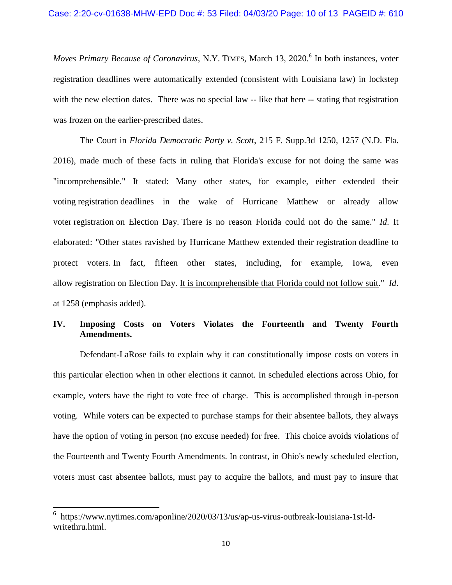*Moves Primary Because of Coronavirus*, N.Y. TIMES, March 13, 2020. 6 In both instances, voter registration deadlines were automatically extended (consistent with Louisiana law) in lockstep with the new election dates. There was no special law -- like that here -- stating that registration was frozen on the earlier-prescribed dates.

The Court in *Florida Democratic Party v. Scott*, 215 F. Supp.3d 1250, 1257 (N.D. Fla. 2016), made much of these facts in ruling that Florida's excuse for not doing the same was "incomprehensible." It stated: Many other states, for example, either extended their voting registration deadlines in the wake of Hurricane Matthew or already allow voter registration on Election Day. There is no reason Florida could not do the same." *Id*. It elaborated: "Other states ravished by Hurricane Matthew extended their registration deadline to protect voters. In fact, fifteen other states, including, for example, Iowa, even allow registration on Election Day. It is incomprehensible that Florida could not follow suit." *Id*. at 1258 (emphasis added).

## **IV. Imposing Costs on Voters Violates the Fourteenth and Twenty Fourth Amendments.**

Defendant-LaRose fails to explain why it can constitutionally impose costs on voters in this particular election when in other elections it cannot. In scheduled elections across Ohio, for example, voters have the right to vote free of charge. This is accomplished through in-person voting. While voters can be expected to purchase stamps for their absentee ballots, they always have the option of voting in person (no excuse needed) for free. This choice avoids violations of the Fourteenth and Twenty Fourth Amendments. In contrast, in Ohio's newly scheduled election, voters must cast absentee ballots, must pay to acquire the ballots, and must pay to insure that

 $\overline{\phantom{a}}$ 

<sup>6</sup> [https://www.nytimes.com/aponline/2020/03/13/us/ap-us-virus-outbreak-louisiana-1st-ld](https://www.nytimes.com/aponline/2020/03/13/us/ap-us-virus-outbreak-louisiana-1st-ld-writethru.html)[writethru.html.](https://www.nytimes.com/aponline/2020/03/13/us/ap-us-virus-outbreak-louisiana-1st-ld-writethru.html)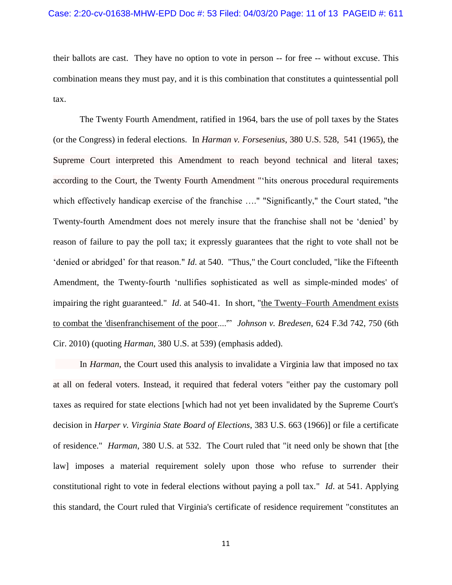their ballots are cast. They have no option to vote in person -- for free -- without excuse. This combination means they must pay, and it is this combination that constitutes a quintessential poll tax.

The Twenty Fourth Amendment, ratified in 1964, bars the use of poll taxes by the States (or the Congress) in federal elections. In *Harman v. Forsesenius*, 380 U.S. 528, 541 (1965), the Supreme Court interpreted this Amendment to reach beyond technical and literal taxes; according to the Court, the Twenty Fourth Amendment "'hits onerous procedural requirements which effectively handicap exercise of the franchise …." "Significantly," the Court stated, "the Twenty-fourth Amendment does not merely insure that the franchise shall not be 'denied' by reason of failure to pay the poll tax; it expressly guarantees that the right to vote shall not be 'denied or abridged' for that reason." *Id*. at 540. "Thus," the Court concluded, "like the Fifteenth Amendment, the Twenty-fourth 'nullifies sophisticated as well as simple-minded modes' of impairing the right guaranteed." *Id*. at 540-41. In short, "the Twenty–Fourth Amendment exists to combat the 'disenfranchisement of the poor....'" *Johnson v. Bredesen*, 624 F.3d 742, 750 (6th Cir. 2010) (quoting *Harman*, 380 U.S. at 539) (emphasis added).

In *Harman*, the Court used this analysis to invalidate a Virginia law that imposed no tax at all on federal voters. Instead, it required that federal voters "either pay the customary poll taxes as required for state elections [which had not yet been invalidated by the Supreme Court's decision in *Harper v. Virginia State Board of Elections*, 383 U.S. 663 (1966)] or file a certificate of residence." *Harman*, 380 U.S. at 532. The Court ruled that "it need only be shown that [the law] imposes a material requirement solely upon those who refuse to surrender their constitutional right to vote in federal elections without paying a poll tax." *Id*. at 541. Applying this standard, the Court ruled that Virginia's certificate of residence requirement "constitutes an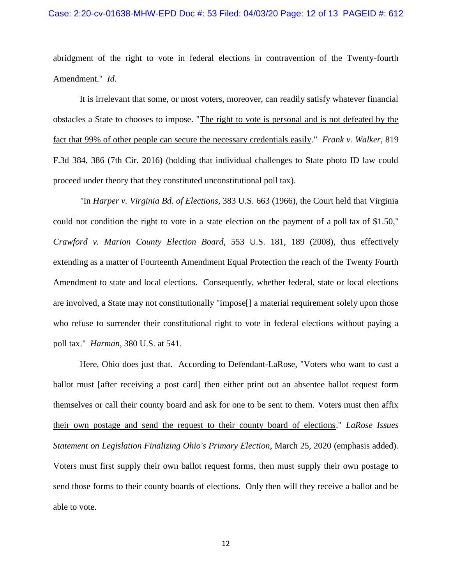abridgment of the right to vote in federal elections in contravention of the Twenty-fourth Amendment." *Id*.

It is irrelevant that some, or most voters, moreover, can readily satisfy whatever financial obstacles a State to chooses to impose. "The right to vote is personal and is not defeated by the fact that 99% of other people can secure the necessary credentials easily." *Frank v. Walker*, 819 F.3d 384, 386 (7th Cir. 2016) (holding that individual challenges to State photo ID law could proceed under theory that they constituted unconstitutional poll tax).

*"*In *Harper v. Virginia Bd. of [Elections,](https://1.next.westlaw.com/Link/Document/FullText?findType=Y&serNum=1966102361&pubNum=0000708&originatingDoc=I9a53a1fb151d11ddb595a478de34cd72&refType=RP&originationContext=document&transitionType=DocumentItem&contextData=(sc.Search))* 383 U.S. 663 (1966), the Court held that Virginia could not condition the right to vote in a state election on the payment of a poll tax of \$1.50," *Crawford v. Marion County Election Board*, 553 U.S. 181, 189 (2008), thus effectively extending as a matter of Fourteenth Amendment Equal Protection the reach of the Twenty Fourth Amendment to state and local elections. Consequently, whether federal, state or local elections are involved, a State may not constitutionally "impose[] a material requirement solely upon those who refuse to surrender their constitutional right to vote in federal elections without paying a poll tax." *Harman*, 380 U.S. at 541.

Here, Ohio does just that. According to Defendant-LaRose, "Voters who want to cast a ballot must [after receiving a post card] then either print out an absentee ballot request form themselves or call their county board and ask for one to be sent to them. Voters must then affix their own postage and send the request to their county board of elections." *LaRose Issues Statement on Legislation Finalizing Ohio's Primary Election*, March 25, 2020 (emphasis added). Voters must first supply their own ballot request forms, then must supply their own postage to send those forms to their county boards of elections. Only then will they receive a ballot and be able to vote.